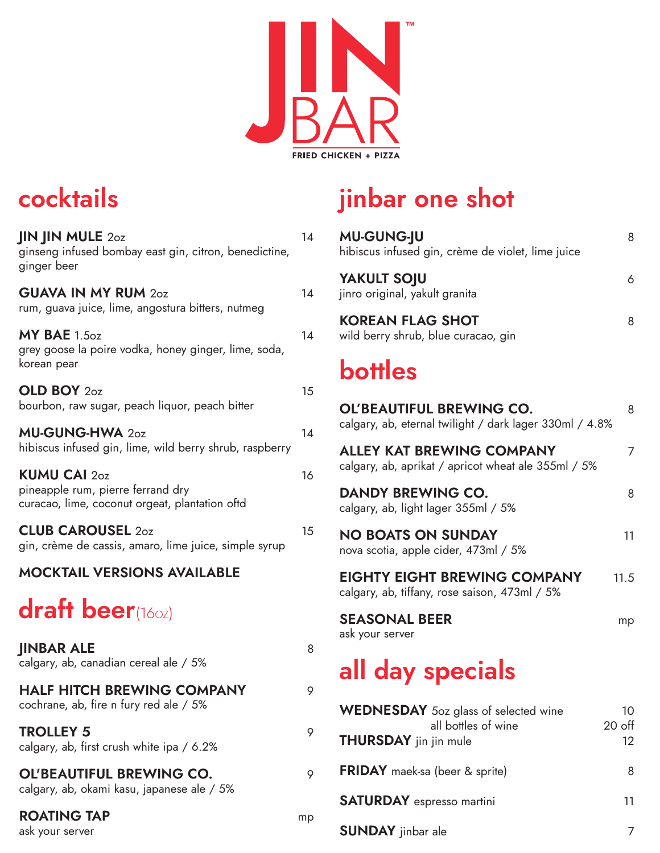

## cocktails

| <b>JIN JIN MULE 20Z</b><br>ginseng infused bombay east gin, citron, benedictine,<br>ginger beer            | 14 |
|------------------------------------------------------------------------------------------------------------|----|
| <b>GUAVA IN MY RUM 20Z</b><br>rum, guava juice, lime, angostura bitters, nutmeg                            | 14 |
| $MY$ BAE $1.5oz$<br>grey goose la poire vodka, honey ginger, lime, soda,<br>korean pear                    | 14 |
| OLD BOY 20Z<br>bourbon, raw sugar, peach liquor, peach bitter                                              | 15 |
| MU-GUNG-HWA 20Z<br>hibiscus infused gin, lime, wild berry shrub, raspberry                                 | 14 |
| <b>KUMU CAI 20Z</b><br>pineapple rum, pierre ferrand dry<br>curacao, lime, coconut orgeat, plantation oftd | 16 |
| <b>CLUB CAROUSEL 20Z</b><br>gin, crème de cassis, amaro, lime juice, simple syrup                          | 15 |
| <b>MOCKTAIL VERSIONS AVAILABLE</b>                                                                         |    |
| <b>draft beer(160z)</b>                                                                                    |    |
| <b>JINBAR ALE</b><br>calgary, ab, canadian cereal ale / 5%                                                 | 8  |
| <b>HALF HITCH BREWING COMPANY</b><br>cochrane, ab, fire n fury red ale / 5%                                | 9  |
| <b>TROLLEY 5</b><br>calgary, ab, first crush white ipa / 6.2%                                              | 9  |
| <b>OL'BEAUTIFUL BREWING CO.</b><br>calgary, ab, okami kasu, japanese ale / 5%                              | 9  |
| <b>ROATING TAP</b>                                                                                         | mp |

#### ask your server

## jinbar one shot

| <b>MU-GUNG-JU</b><br>hibiscus infused gin, crème de violet, lime juice                     | 8          |
|--------------------------------------------------------------------------------------------|------------|
| <b>YAKULT SOJU</b><br>jinro original, yakult granita                                       | 6          |
| <b>KOREAN FLAG SHOT</b><br>wild berry shrub, blue curacao, gin                             | 8          |
| <b>bottles</b>                                                                             |            |
| <b>OL'BEAUTIFUL BREWING CO.</b><br>calgary, ab, eternal twilight / dark lager 330ml / 4.8% | 8          |
| <b>ALLEY KAT BREWING COMPANY</b><br>calgary, ab, aprikat / apricot wheat ale 355ml / 5%    | 7          |
| <b>DANDY BREWING CO.</b><br>calgary, ab, light lager 355ml / 5%                            | 8          |
| <b>NO BOATS ON SUNDAY</b><br>nova scotia, apple cider, 473ml / 5%                          | 11         |
| <b>EIGHTY EIGHT BREWING COMPANY</b><br>calgary, ab, tiffany, rose saison, 473ml / 5%       | 11.5       |
| <b>SEASONAL BEER</b><br>ask your server                                                    | mp         |
| all day specials                                                                           |            |
| <b>WEDNESDAY</b> 5oz glass of selected wine<br>all hottles of wing                         | 10<br>20.9 |

| <b>WEDNESDAY</b> 50Z glass of selected wine         | 10 D           |
|-----------------------------------------------------|----------------|
| all bottles of wine<br><b>THURSDAY</b> jin jin mule | $20$ off<br>12 |
| <b>FRIDAY</b> maek-sa (beer & sprite)               | 8              |
| <b>SATURDAY</b> espresso martini                    | 11             |
| <b>SUNDAY</b> jinbar ale                            |                |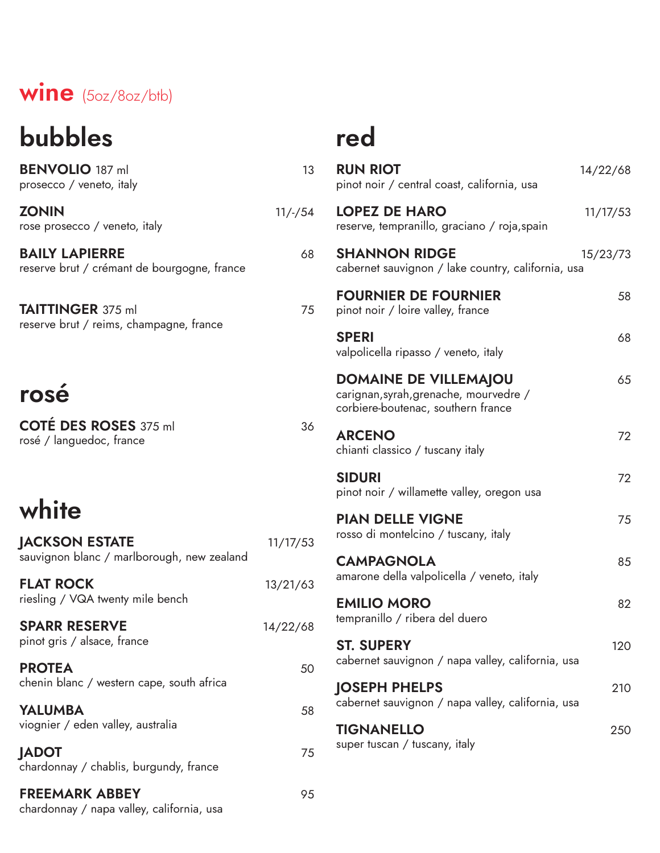#### wine (5oz/8oz/btb)

## bubbles

BENVOLIO 187 ml 13 prosecco / veneto, italy ZONIN 11/-/54

rose prosecco / veneto, italy

BAILY LAPIERRE 68 reserve brut / crémant de bourgogne, france

**TAITTINGER** 375 ml 75 reserve brut / reims, champagne, france

### rosé

COTÉ DES ROSES 375 ml 36 rosé / languedoc, france

## white

| <b>JACKSON ESTATE</b><br>sauvignon blanc / marlborough, new zealand | 11/17/53 |
|---------------------------------------------------------------------|----------|
| <b>FLAT ROCK</b><br>riesling / VQA twenty mile bench                | 13/21/63 |
| <b>SPARR RESERVE</b><br>pinot gris / alsace, france                 | 14/22/68 |
| <b>PROTEA</b><br>chenin blanc / western cape, south africa          | 50       |
| <b>YALUMBA</b><br>viognier / eden valley, australia                 | 58       |
| <b>JADOT</b><br>chardonnay / chablis, burgundy, france              | 75       |
| <b>FREEMARK ABBEY</b><br>chardonnay / napa valley, california, usa  | 95       |

## red

| <b>RUN RIOT</b><br>pinot noir / central coast, california, usa                                               | 14/22/68 |
|--------------------------------------------------------------------------------------------------------------|----------|
| <b>LOPEZ DE HARO</b><br>reserve, tempranillo, graciano / roja, spain                                         | 11/17/53 |
| <b>SHANNON RIDGE</b><br>cabernet sauvignon / lake country, california, usa                                   | 15/23/73 |
| <b>FOURNIER DE FOURNIER</b><br>pinot noir / loire valley, france                                             | 58       |
| <b>SPERI</b><br>valpolicella ripasso / veneto, italy                                                         | 68       |
| <b>DOMAINE DE VILLEMAJOU</b><br>carignan, syrah, grenache, mourvedre /<br>corbiere-boutenac, southern france | 65       |
| <b>ARCENO</b><br>chianti classico / tuscany italy                                                            | 72       |
| <b>SIDURI</b><br>pinot noir / willamette valley, oregon usa                                                  | 72       |
| <b>PIAN DELLE VIGNE</b><br>rosso di montelcino / tuscany, italy                                              | 75       |
| <b>CAMPAGNOLA</b><br>amarone della valpolicella / veneto, italy                                              | 85       |
| <b>EMILIO MORO</b><br>tempranillo / ribera del duero                                                         | 82       |
| <b>ST. SUPERY</b><br>cabernet sauvignon / napa valley, california, usa                                       | 120      |
| <b>JOSEPH PHELPS</b><br>cabernet sauvignon / napa valley, california, usa                                    | 210      |
| <b>TIGNANELLO</b><br>super tuscan / tuscany, italy                                                           | 250      |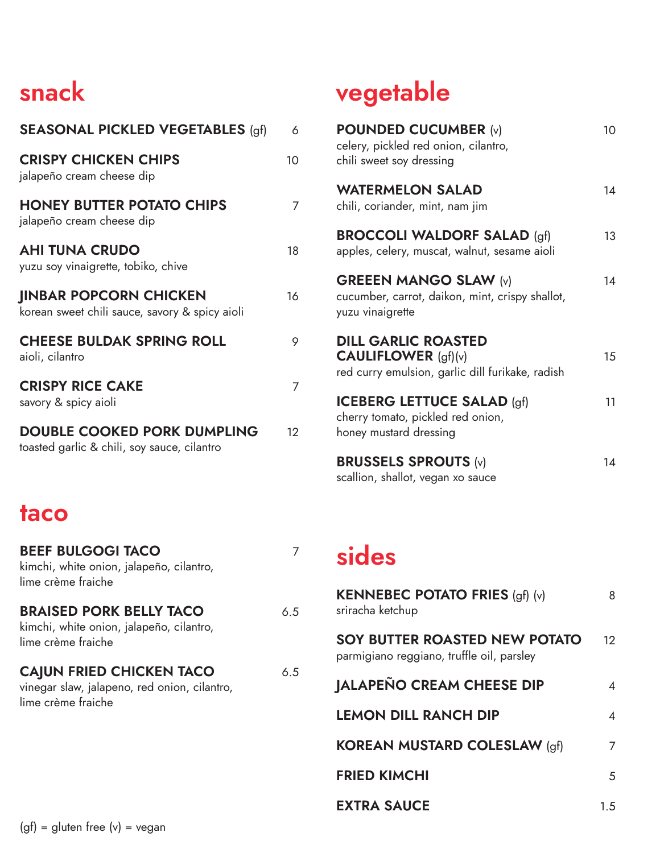## snack

| <b>SEASONAL PICKLED VEGETABLES (gf)</b>                                           | 6  |
|-----------------------------------------------------------------------------------|----|
| <b>CRISPY CHICKEN CHIPS</b><br>jalapeño cream cheese dip                          | 10 |
| <b>HONEY BUTTER POTATO CHIPS</b><br>jalapeño cream cheese dip                     | 7  |
| <b>AHI TUNA CRUDO</b><br>yuzu soy vinaigrette, tobiko, chive                      | 18 |
| <b>IINBAR POPCORN CHICKEN</b><br>korean sweet chili sauce, savory & spicy aioli   | 16 |
| <b>CHEESE BULDAK SPRING ROLL</b><br>aioli, cilantro                               | 9  |
| <b>CRISPY RICE CAKE</b><br>savory & spicy aioli                                   | 7  |
| <b>DOUBLE COOKED PORK DUMPLING</b><br>toasted garlic & chili, soy sauce, cilantro | 12 |

#### taco

| <b>BEEF BULGOGI TACO</b><br>kimchi, white onion, jalapeño, cilantro,<br>lime crème fraiche            | 7   |
|-------------------------------------------------------------------------------------------------------|-----|
| <b>BRAISED PORK BELLY TACO</b><br>kimchi, white onion, jalapeño, cilantro,<br>lime crème fraiche      | 6.5 |
| <b>CAJUN FRIED CHICKEN TACO</b><br>vinegar slaw, jalapeno, red onion, cilantro,<br>lime crème fraiche | 6.5 |
|                                                                                                       |     |

## vegetable

| <b>POUNDED CUCUMBER (v)</b><br>celery, pickled red onion, cilantro,<br>chili sweet soy dressing                | 10 |
|----------------------------------------------------------------------------------------------------------------|----|
| <b>WATERMELON SALAD</b><br>chili, coriander, mint, nam jim                                                     | 14 |
| <b>BROCCOLI WALDORF SALAD (gf)</b><br>apples, celery, muscat, walnut, sesame aioli                             | 13 |
| <b>GREEEN MANGO SLAW (v)</b><br>cucumber, carrot, daikon, mint, crispy shallot,<br>yuzu vinaigrette            | 14 |
| <b>DILL GARLIC ROASTED</b><br><b>CAULIFLOWER</b> $(gf)(v)$<br>red curry emulsion, garlic dill furikake, radish | 15 |
| <b>ICEBERG LETTUCE SALAD (gf)</b><br>cherry tomato, pickled red onion,<br>honey mustard dressing               | 11 |
| <b>BRUSSELS SPROUTS (v)</b><br>scallion, shallot, vegan xo sauce                                               | 14 |

#### sides

| <b>KENNEBEC POTATO FRIES (gf) (v)</b><br>sriracha ketchup                  | 8   |
|----------------------------------------------------------------------------|-----|
| SOY BUTTER ROASTED NEW POTATO<br>parmigiano reggiano, truffle oil, parsley | 12. |
| <b>JALAPEÑO CREAM CHEESE DIP</b>                                           | 4   |
| <b>LEMON DILL RANCH DIP</b>                                                | 4   |
| <b>KOREAN MUSTARD COLESLAW (gf)</b>                                        | 7   |
| <b>FRIED KIMCHI</b>                                                        | 5   |
| <b>EXTRA SAUCE</b>                                                         | 15  |